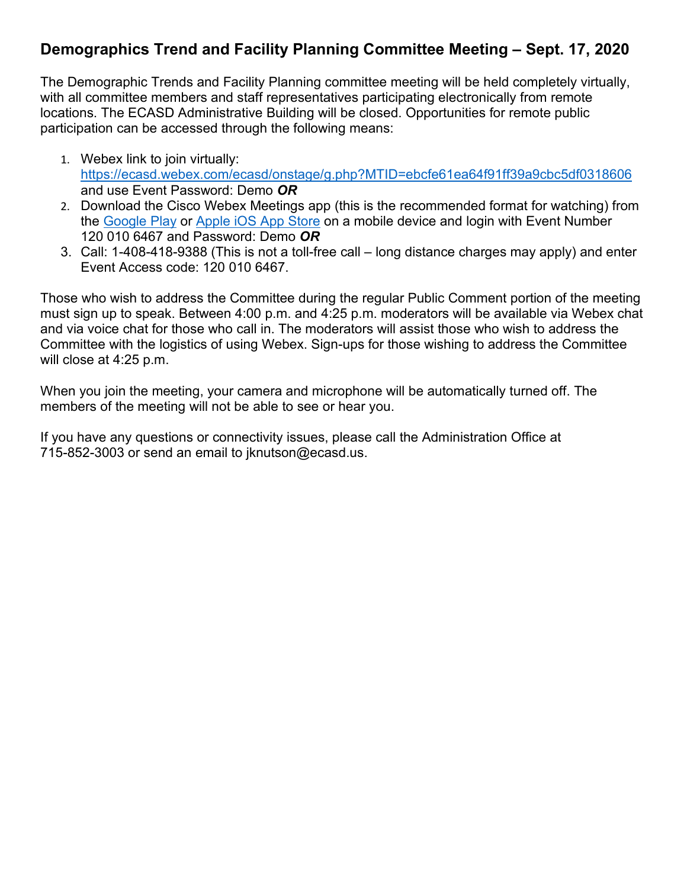## **Demographics Trend and Facility Planning Committee Meeting – Sept. 17, 2020**

The Demographic Trends and Facility Planning committee meeting will be held completely virtually, with all committee members and staff representatives participating electronically from remote locations. The ECASD Administrative Building will be closed. Opportunities for remote public participation can be accessed through the following means:

- 1. Webex link to join virtually: <https://ecasd.webex.com/ecasd/onstage/g.php?MTID=ebcfe61ea64f91ff39a9cbc5df0318606> and use Event Password: Demo *OR*
- 2. Download the Cisco Webex Meetings app (this is the recommended format for watching) from the [Google Play](https://play.google.com/store/apps/details?id=com.cisco.webex.meetings) or [Apple iOS App Store](https://itunes.apple.com/us/app/cisco-webex-meetings/id298844386) on a mobile device and login with Event Number 120 010 6467 and Password: Demo *OR*
- 3. Call: 1-408-418-9388 (This is not a toll-free call long distance charges may apply) and enter Event Access code: 120 010 6467.

Those who wish to address the Committee during the regular Public Comment portion of the meeting must sign up to speak. Between 4:00 p.m. and 4:25 p.m. moderators will be available via Webex chat and via voice chat for those who call in. The moderators will assist those who wish to address the Committee with the logistics of using Webex. Sign-ups for those wishing to address the Committee will close at 4:25 p.m.

When you join the meeting, your camera and microphone will be automatically turned off. The members of the meeting will not be able to see or hear you.

If you have any questions or connectivity issues, please call the Administration Office at 715-852-3003 or send an email to jknutson@ecasd.us.